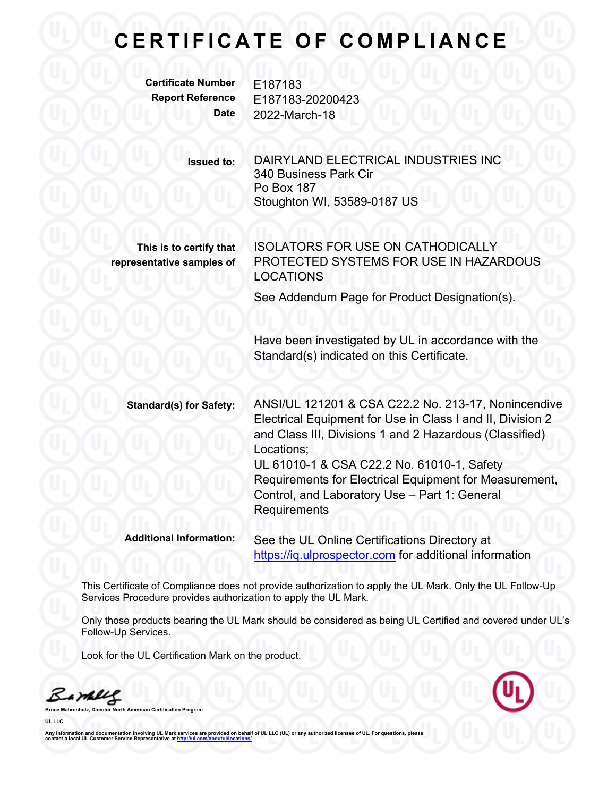## **C E R T I F I C A T E O F C O M P L I A N C E**

**Certificate Number** E187183

**Report Reference** E187183-20200423 **Date** 2022-March-18

> **Issued to:** DAIRYLAND ELECTRICAL INDUSTRIES INC 340 Business Park Cir Po Box 187 Stoughton WI, 53589-0187 US

**This is to certify that representative samples of** ISOLATORS FOR USE ON CATHODICALLY PROTECTED SYSTEMS FOR USE IN HAZARDOUS LOCATIONS

See Addendum Page for Product Designation(s).

Have been investigated by UL in accordance with the Standard(s) indicated on this Certificate.

**Standard(s) for Safety:** ANSI/UL 121201 & CSA C22.2 No. 213-17, Nonincendive Electrical Equipment for Use in Class I and II, Division 2 and Class III, Divisions 1 and 2 Hazardous (Classified) Locations; UL 61010-1 & CSA C22.2 No. 61010-1, Safety Requirements for Electrical Equipment for Measurement, Control, and Laboratory Use – Part 1: General **Requirements** 

**Additional Information:** See the UL Online Certifications Directory at https://iq.ulprospector.com for additional information

This Certificate of Compliance does not provide authorization to apply the UL Mark. Only the UL Follow-Up Services Procedure provides authorization to apply the UL Mark.

Only those products bearing the UL Mark should be considered as being UL Certified and covered under UL's Follow-Up Services.

Look for the UL Certification Mark on the product.

Barney

**Bruce Mahrenholz, Director North American Certification Program**

**UL LLC**

Any information and documentation involving UL Mark services are provided on behalf of UL LLC (UL) or any authorized licensee of UL. For questions, please<br>contact a local UL Customer Service Representative at <u>http://ul.co</u>